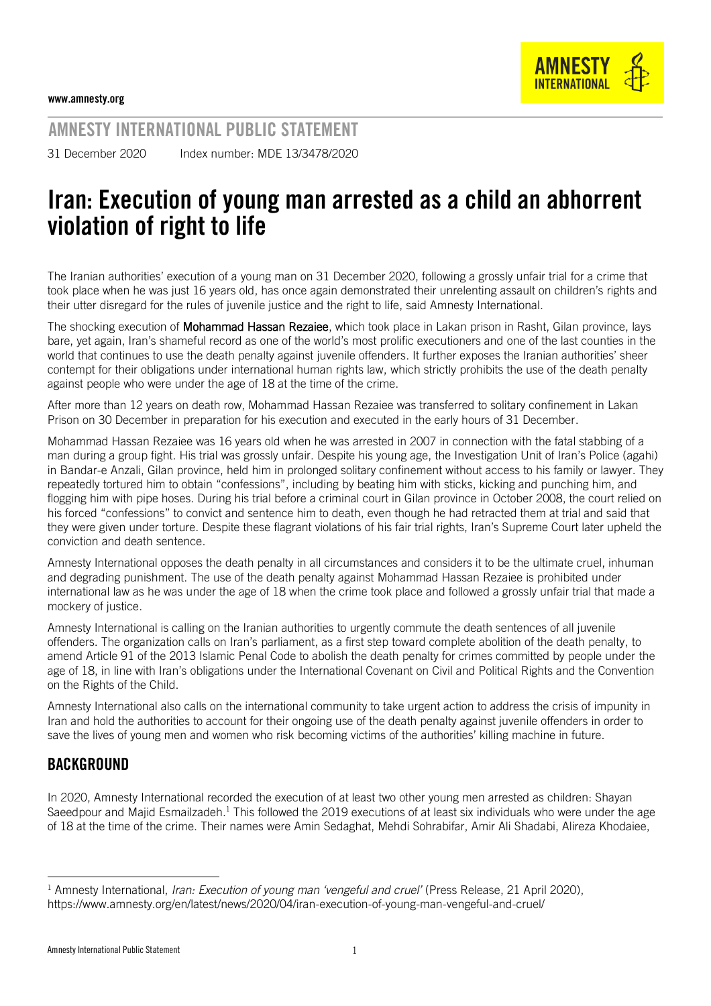

AMNESTY INTERNATIONAL PUBLIC STATEMENT

31 December 2020 Index number: MDE 13/3478/2020

## Iran: Execution of young man arrested as a child an abhorrent violation of right to life

The Iranian authorities' execution of a young man on 31 December 2020, following a grossly unfair trial for a crime that took place when he was just 16 years old, has once again demonstrated their unrelenting assault on children's rights and their utter disregard for the rules of juvenile justice and the right to life, said Amnesty International.

The shocking execution of Mohammad Hassan Rezaiee, which took place in Lakan prison in Rasht, Gilan province, lays bare, yet again, Iran's shameful record as one of the world's most prolific executioners and one of the last counties in the world that continues to use the death penalty against juvenile offenders. It further exposes the Iranian authorities' sheer contempt for their obligations under international human rights law, which strictly prohibits the use of the death penalty against people who were under the age of 18 at the time of the crime.

After more than 12 years on death row, Mohammad Hassan Rezaiee was transferred to solitary confinement in Lakan Prison on 30 December in preparation for his execution and executed in the early hours of 31 December.

Mohammad Hassan Rezaiee was 16 years old when he was arrested in 2007 in connection with the fatal stabbing of a man during a group fight. His trial was grossly unfair. Despite his young age, the Investigation Unit of Iran's Police (agahi) in Bandar-e Anzali, Gilan province, held him in prolonged solitary confinement without access to his family or lawyer. They repeatedly tortured him to obtain "confessions", including by beating him with sticks, kicking and punching him, and flogging him with pipe hoses. During his trial before a criminal court in Gilan province in October 2008, the court relied on his forced "confessions" to convict and sentence him to death, even though he had retracted them at trial and said that they were given under torture. Despite these flagrant violations of his fair trial rights, Iran's Supreme Court later upheld the conviction and death sentence.

Amnesty International opposes the death penalty in all circumstances and considers it to be the ultimate cruel, inhuman and degrading punishment. The use of the death penalty against Mohammad Hassan Rezaiee is prohibited under international law as he was under the age of 18 when the crime took place and followed a grossly unfair trial that made a mockery of justice.

Amnesty International is calling on the Iranian authorities to urgently commute the death sentences of all juvenile offenders. The organization calls on Iran's parliament, as a first step toward complete abolition of the death penalty, to amend Article 91 of the 2013 Islamic Penal Code to abolish the death penalty for crimes committed by people under the age of 18, in line with Iran's obligations under the International Covenant on Civil and Political Rights and the Convention on the Rights of the Child.

Amnesty International also calls on the international community to take urgent action to address the crisis of impunity in Iran and hold the authorities to account for their ongoing use of the death penalty against juvenile offenders in order to save the lives of young men and women who risk becoming victims of the authorities' killing machine in future.

## BACKGROUND

In 2020, Amnesty International recorded the execution of at least two other young men arrested as children: Shayan Saeedpour and Majid Esmailzadeh.<sup>1</sup> This followed the 2019 executions of at least six individuals who were under the age of 18 at the time of the crime. Their names were Amin Sedaghat, Mehdi Sohrabifar, Amir Ali Shadabi, Alireza Khodaiee,

<sup>1</sup> Amnesty International, *Iran: Execution of young man 'vengeful and cruel'* (Press Release, 21 April 2020), <https://www.amnesty.org/en/latest/news/2020/04/iran-execution-of-young-man-vengeful-and-cruel/>